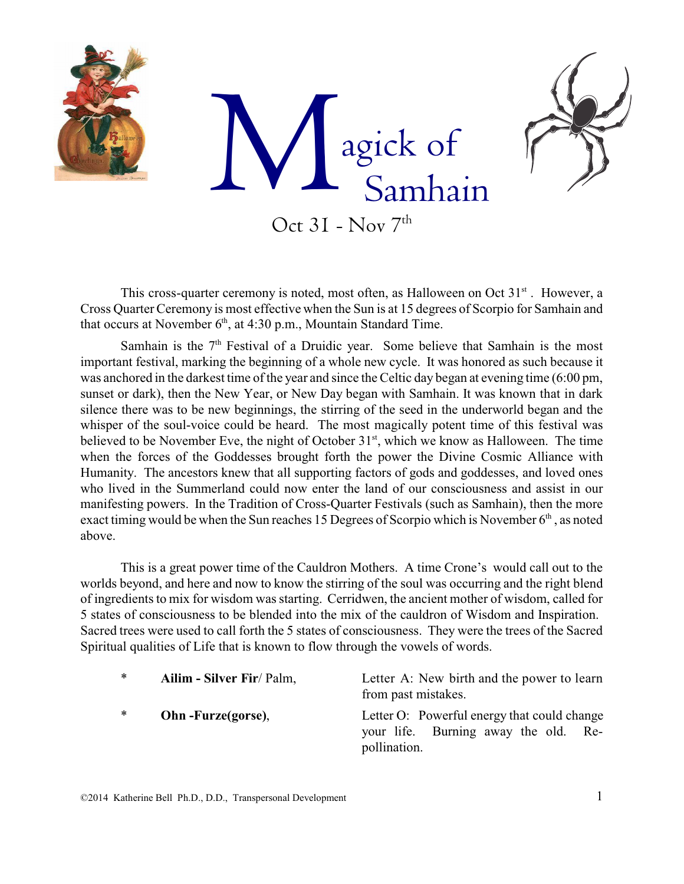

This cross-quarter ceremony is noted, most often, as Halloween on Oct 31<sup>st</sup>. However, a Cross Quarter Ceremony is most effective when the Sun is at 15 degrees of Scorpio for Samhain and that occurs at November  $6<sup>th</sup>$ , at 4:30 p.m., Mountain Standard Time.

Samhain is the  $7<sup>th</sup>$  Festival of a Druidic year. Some believe that Samhain is the most important festival, marking the beginning of a whole new cycle. It was honored as such because it was anchored in the darkest time of the year and since the Celtic day began at evening time (6:00 pm, sunset or dark), then the New Year, or New Day began with Samhain. It was known that in dark silence there was to be new beginnings, the stirring of the seed in the underworld began and the whisper of the soul-voice could be heard. The most magically potent time of this festival was believed to be November Eve, the night of October 31<sup>st</sup>, which we know as Halloween. The time when the forces of the Goddesses brought forth the power the Divine Cosmic Alliance with Humanity. The ancestors knew that all supporting factors of gods and goddesses, and loved ones who lived in the Summerland could now enter the land of our consciousness and assist in our manifesting powers. In the Tradition of Cross-Quarter Festivals (such as Samhain), then the more exact timing would be when the Sun reaches 15 Degrees of Scorpio which is November 6<sup>th</sup>, as noted above.

This is a great power time of the Cauldron Mothers. A time Crone's would call out to the worlds beyond, and here and now to know the stirring of the soul was occurring and the right blend of ingredients to mix for wisdom was starting. Cerridwen, the ancient mother of wisdom, called for 5 states of consciousness to be blended into the mix of the cauldron of Wisdom and Inspiration. Sacred trees were used to call forth the 5 states of consciousness. They were the trees of the Sacred Spiritual qualities of Life that is known to flow through the vowels of words.

| $\ast$ | Ailim - Silver Fir/ Palm, | Letter A: New birth and the power to learn<br>from past mistakes.                                       |
|--------|---------------------------|---------------------------------------------------------------------------------------------------------|
| $\ast$ | Ohn-Furze(gorse),         | Letter O: Powerful energy that could change<br>your life. Burning away the old.<br>-Re-<br>pollination. |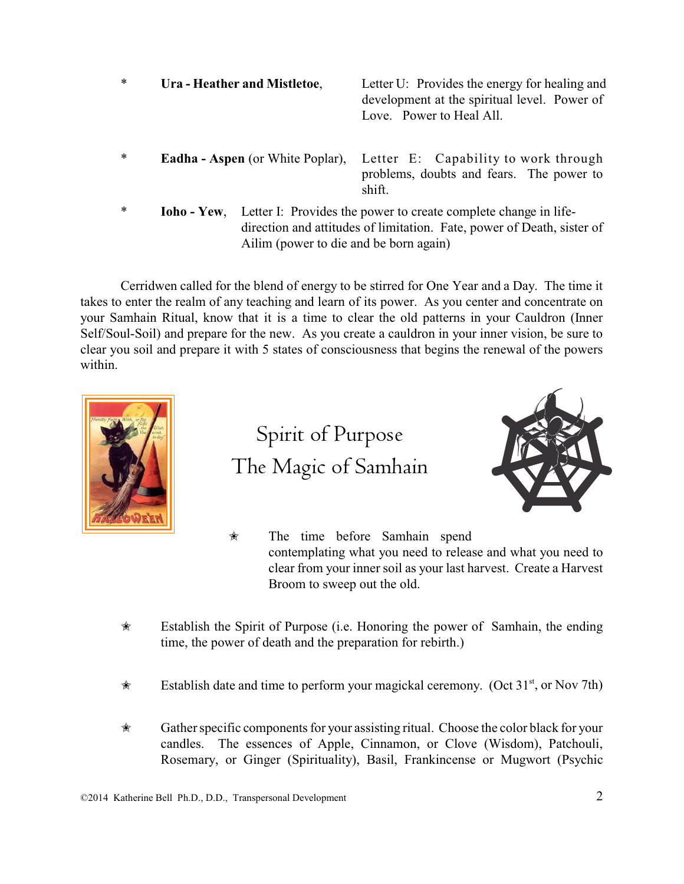\* **Ura - Heather and Mistletoe**, Letter U: Provides the energy for healing and development at the spiritual level. Power of Love. Power to Heal All.

- \* **Eadha Aspen** (or White Poplar), Letter E: Capability to work through problems, doubts and fears. The power to shift.
- \* **Ioho Yew**, Letter I: Provides the power to create complete change in lifedirection and attitudes of limitation. Fate, power of Death, sister of Ailim (power to die and be born again)

Cerridwen called for the blend of energy to be stirred for One Year and a Day. The time it takes to enter the realm of any teaching and learn of its power. As you center and concentrate on your Samhain Ritual, know that it is a time to clear the old patterns in your Cauldron (Inner Self/Soul-Soil) and prepare for the new. As you create a cauldron in your inner vision, be sure to clear you soil and prepare it with 5 states of consciousness that begins the renewal of the powers within.



Spirit of Purpose The Magic of Samhain



- $\star$  The time before Samhain spend contemplating what you need to release and what you need to clear from your inner soil as your last harvest. Create a Harvest Broom to sweep out the old.
- $\star$  Establish the Spirit of Purpose (i.e. Honoring the power of Samhain, the ending time, the power of death and the preparation for rebirth.)
- $\star$  Establish date and time to perform your magickal ceremony. (Oct 31<sup>st</sup>, or Nov 7th)
- $\star$  Gather specific components for your assisting ritual. Choose the color black for your candles. The essences of Apple, Cinnamon, or Clove (Wisdom), Patchouli, Rosemary, or Ginger (Spirituality), Basil, Frankincense or Mugwort (Psychic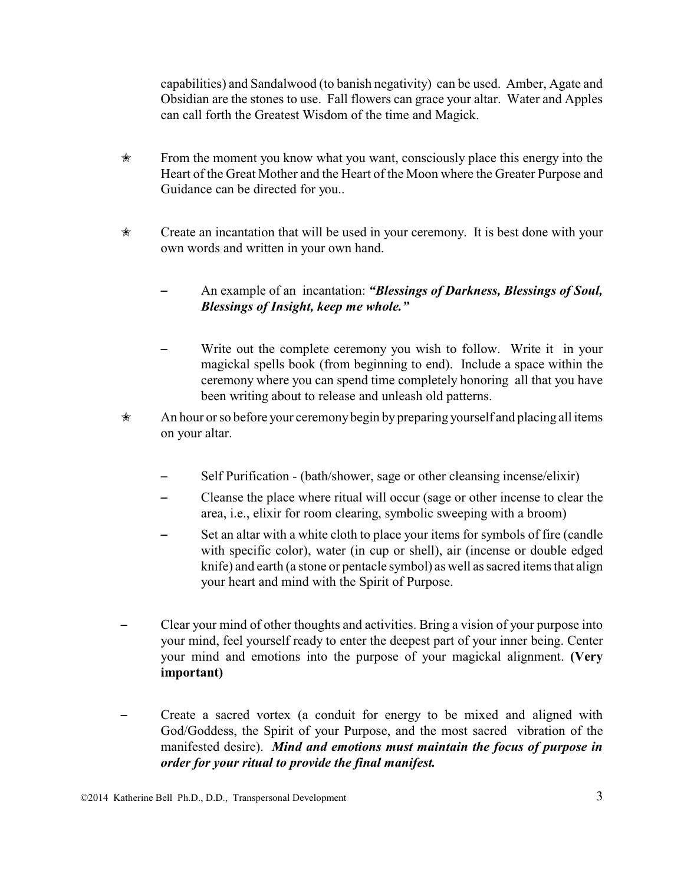capabilities) and Sandalwood (to banish negativity) can be used. Amber, Agate and Obsidian are the stones to use. Fall flowers can grace your altar. Water and Apples can call forth the Greatest Wisdom of the time and Magick.

- $\hat{\mathcal{R}}$  From the moment you know what you want, consciously place this energy into the Heart of the Great Mother and the Heart of the Moon where the Greater Purpose and Guidance can be directed for you..
- $\star$  Create an incantation that will be used in your ceremony. It is best done with your own words and written in your own hand.
	- An example of an incantation: *"Blessings of Darkness, Blessings of Soul, Blessings of Insight, keep me whole."*
	- Write out the complete ceremony you wish to follow. Write it in your magickal spells book (from beginning to end). Include a space within the ceremony where you can spend time completely honoring all that you have been writing about to release and unleash old patterns.
- $\star$  An hour or so before your ceremony begin by preparing yourself and placing all items on your altar.
	- Self Purification (bath/shower, sage or other cleansing incense/elixir)
	- Cleanse the place where ritual will occur (sage or other incense to clear the area, i.e., elixir for room clearing, symbolic sweeping with a broom)
	- Set an altar with a white cloth to place your items for symbols of fire (candle with specific color), water (in cup or shell), air (incense or double edged knife) and earth (a stone or pentacle symbol) as well as sacred items that align your heart and mind with the Spirit of Purpose.
- Clear your mind of other thoughts and activities. Bring a vision of your purpose into your mind, feel yourself ready to enter the deepest part of your inner being. Center your mind and emotions into the purpose of your magickal alignment. **(Very important)**
- Create a sacred vortex (a conduit for energy to be mixed and aligned with God/Goddess, the Spirit of your Purpose, and the most sacred vibration of the manifested desire). *Mind and emotions must maintain the focus of purpose in order for your ritual to provide the final manifest.*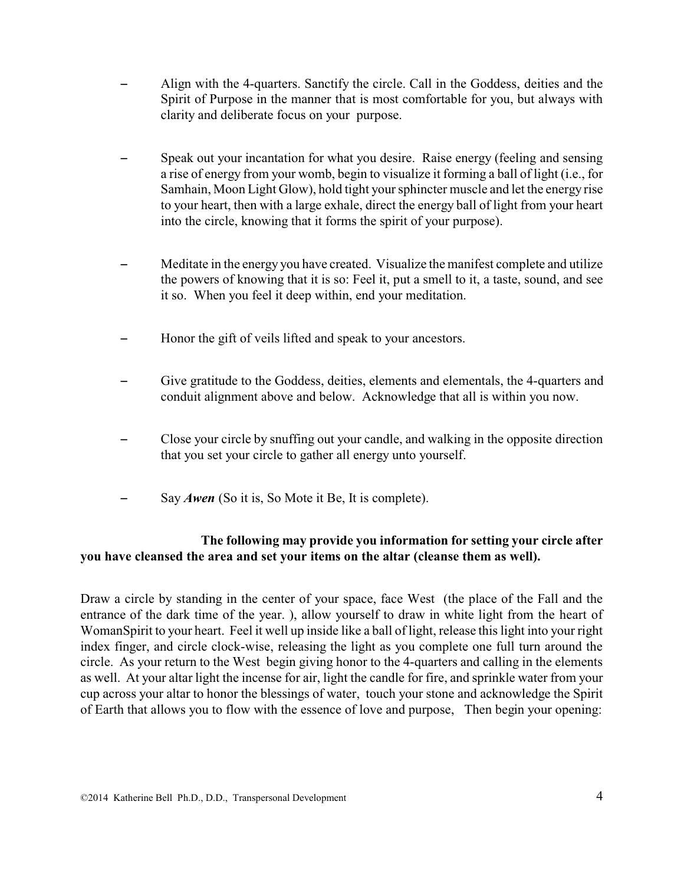- Align with the 4-quarters. Sanctify the circle. Call in the Goddess, deities and the Spirit of Purpose in the manner that is most comfortable for you, but always with clarity and deliberate focus on your purpose.
- Speak out your incantation for what you desire. Raise energy (feeling and sensing a rise of energy from your womb, begin to visualize it forming a ball of light (i.e., for Samhain, Moon Light Glow), hold tight your sphincter muscle and let the energy rise to your heart, then with a large exhale, direct the energy ball of light from your heart into the circle, knowing that it forms the spirit of your purpose).
- Meditate in the energy you have created. Visualize the manifest complete and utilize the powers of knowing that it is so: Feel it, put a smell to it, a taste, sound, and see it so. When you feel it deep within, end your meditation.
- Honor the gift of veils lifted and speak to your ancestors.
- Give gratitude to the Goddess, deities, elements and elementals, the 4-quarters and conduit alignment above and below. Acknowledge that all is within you now.
- Close your circle by snuffing out your candle, and walking in the opposite direction that you set your circle to gather all energy unto yourself.
- Say *Awen* (So it is, So Mote it Be, It is complete).

# **The following may provide you information for setting your circle after you have cleansed the area and set your items on the altar (cleanse them as well).**

Draw a circle by standing in the center of your space, face West (the place of the Fall and the entrance of the dark time of the year. ), allow yourself to draw in white light from the heart of WomanSpirit to your heart. Feel it well up inside like a ball of light, release this light into your right index finger, and circle clock-wise, releasing the light as you complete one full turn around the circle. As your return to the West begin giving honor to the 4-quarters and calling in the elements as well. At your altar light the incense for air, light the candle for fire, and sprinkle water from your cup across your altar to honor the blessings of water, touch your stone and acknowledge the Spirit of Earth that allows you to flow with the essence of love and purpose, Then begin your opening: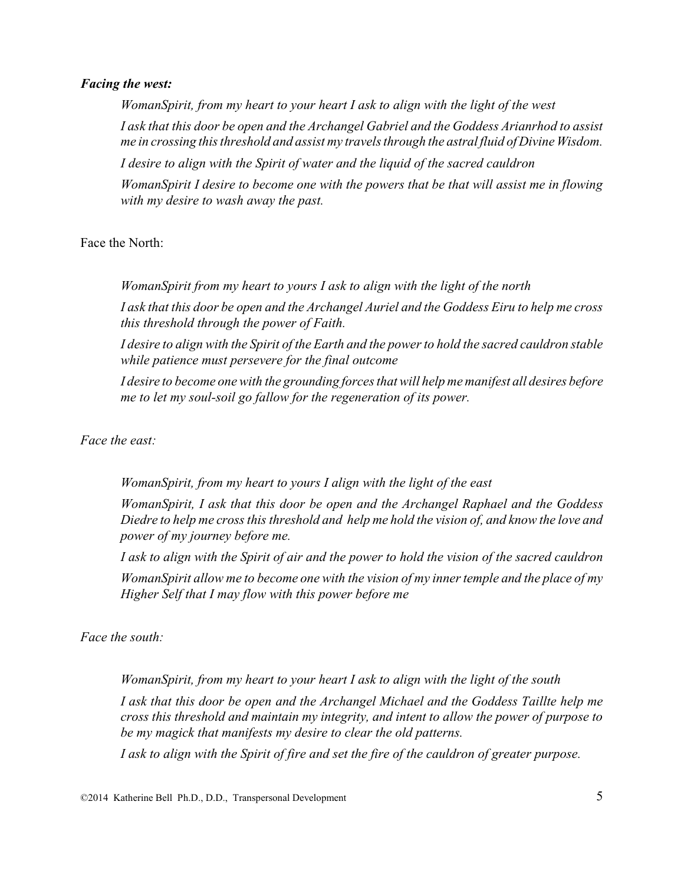#### *Facing the west:*

*WomanSpirit, from my heart to your heart I ask to align with the light of the west I ask that this door be open and the Archangel Gabriel and the Goddess Arianrhod to assist me in crossing this threshold and assist my travels through the astral fluid of Divine Wisdom.*

*I desire to align with the Spirit of water and the liquid of the sacred cauldron*

*WomanSpirit I desire to become one with the powers that be that will assist me in flowing with my desire to wash away the past.*

Face the North:

*WomanSpirit from my heart to yours I ask to align with the light of the north I ask that this door be open and the Archangel Auriel and the Goddess Eiru to help me cross this threshold through the power of Faith.* 

*I desire to align with the Spirit of the Earth and the power to hold the sacred cauldron stable while patience must persevere for the final outcome*

*I desire to become one with the grounding forces that will help me manifest all desires before me to let my soul-soil go fallow for the regeneration of its power.*

*Face the east:*

*WomanSpirit, from my heart to yours I align with the light of the east*

*WomanSpirit, I ask that this door be open and the Archangel Raphael and the Goddess Diedre to help me cross this threshold and help me hold the vision of, and know the love and power of my journey before me.*

*I ask to align with the Spirit of air and the power to hold the vision of the sacred cauldron WomanSpirit allow me to become one with the vision of my inner temple and the place of my Higher Self that I may flow with this power before me*

*Face the south:*

*WomanSpirit, from my heart to your heart I ask to align with the light of the south*

*I ask that this door be open and the Archangel Michael and the Goddess Taillte help me cross this threshold and maintain my integrity, and intent to allow the power of purpose to be my magick that manifests my desire to clear the old patterns.*

*I ask to align with the Spirit of fire and set the fire of the cauldron of greater purpose.*

©2014 Katherine Bell Ph.D., D.D., Transpersonal Development 5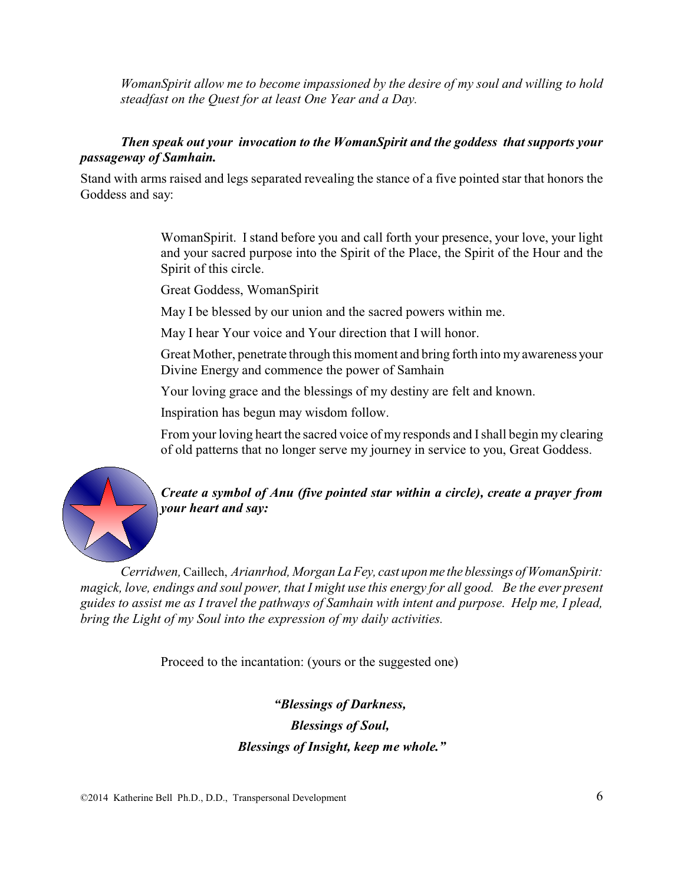*WomanSpirit allow me to become impassioned by the desire of my soul and willing to hold steadfast on the Quest for at least One Year and a Day.*

### *Then speak out your invocation to the WomanSpirit and the goddess that supports your passageway of Samhain.*

Stand with arms raised and legs separated revealing the stance of a five pointed star that honors the Goddess and say:

> WomanSpirit. I stand before you and call forth your presence, your love, your light and your sacred purpose into the Spirit of the Place, the Spirit of the Hour and the Spirit of this circle.

Great Goddess, WomanSpirit

May I be blessed by our union and the sacred powers within me.

May I hear Your voice and Your direction that I will honor.

Great Mother, penetrate through this moment and bring forth into my awareness your Divine Energy and commence the power of Samhain

Your loving grace and the blessings of my destiny are felt and known.

Inspiration has begun may wisdom follow.

From your loving heart the sacred voice of my responds and Ishall begin my clearing of old patterns that no longer serve my journey in service to you, Great Goddess.



*Create a symbol of Anu (five pointed star within a circle), create a prayer from your heart and say:*

*Cerridwen,* Caillech, *Arianrhod, Morgan LaFey, cast uponme the blessings of WomanSpirit: magick, love, endings and soul power, that I might use this energy for all good. Be the ever present guides to assist me as I travel the pathways of Samhain with intent and purpose. Help me, I plead, bring the Light of my Soul into the expression of my daily activities.*

Proceed to the incantation: (yours or the suggested one)

*"Blessings of Darkness, Blessings of Soul, Blessings of Insight, keep me whole."*

©2014 Katherine Bell Ph.D., D.D., Transpersonal Development 6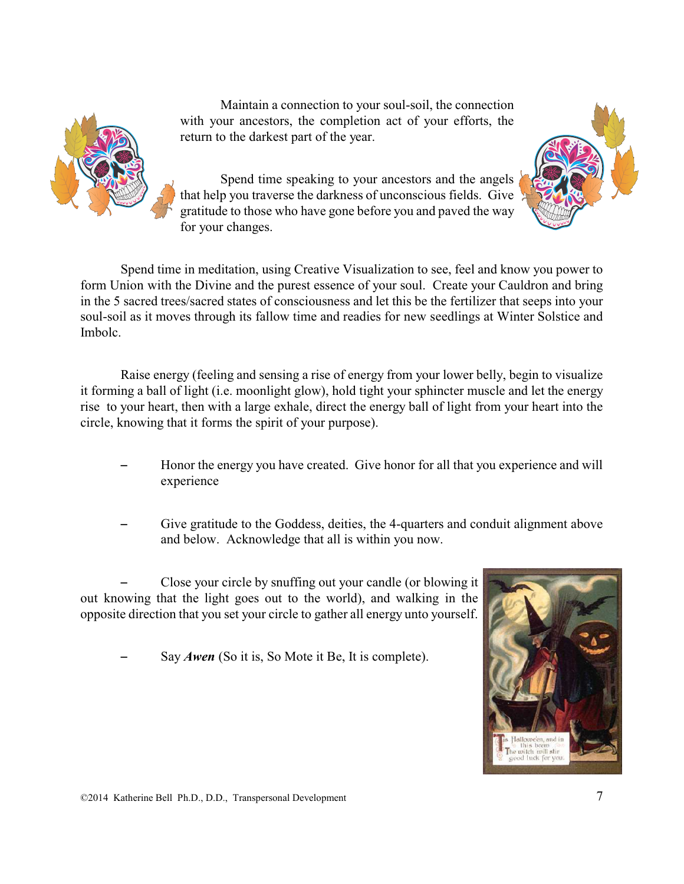Maintain a connection to your soul-soil, the connection with your ancestors, the completion act of your efforts, the return to the darkest part of the year.





Spend time in meditation, using Creative Visualization to see, feel and know you power to form Union with the Divine and the purest essence of your soul. Create your Cauldron and bring in the 5 sacred trees/sacred states of consciousness and let this be the fertilizer that seeps into your soul-soil as it moves through its fallow time and readies for new seedlings at Winter Solstice and Imbolc.

Raise energy (feeling and sensing a rise of energy from your lower belly, begin to visualize it forming a ball of light (i.e. moonlight glow), hold tight your sphincter muscle and let the energy rise to your heart, then with a large exhale, direct the energy ball of light from your heart into the circle, knowing that it forms the spirit of your purpose).

- Honor the energy you have created. Give honor for all that you experience and will experience
- Give gratitude to the Goddess, deities, the 4-quarters and conduit alignment above and below. Acknowledge that all is within you now.

Close your circle by snuffing out your candle (or blowing it out knowing that the light goes out to the world), and walking in the opposite direction that you set your circle to gather all energy unto yourself.

Say *Awen* (So it is, So Mote it Be, It is complete).